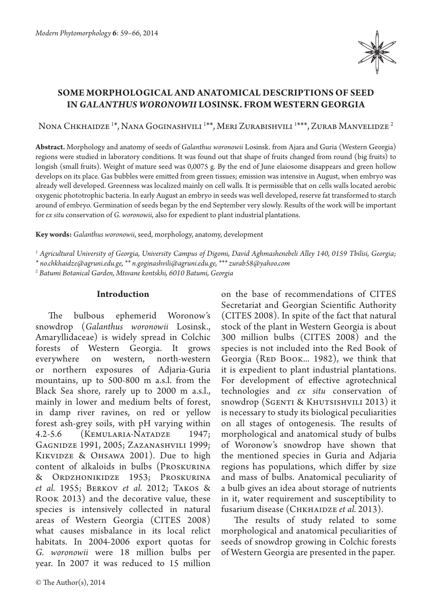

# **SOME MORPHOLOGICAL AND ANATOMICAL DESCRIPTIONS OF SEED IN** *GALANTHUS WORONOWII* **LOSINSK. FROM WESTERN GEORGIA**

Nona Chkhaidze  $^{1*}$ , Nana Goginashvili  $^{1**}$ , Meri Zurabishvili  $^{1***}$ , Zurab Manvelidze  $^2$ 

**Abstract.** Morphology and anatomy of seeds of *Galanthus woronowii* Losinsk. from Ajara and Guria (Western Georgia) regions were studied in laboratory conditions. It was found out that shape of fruits changed from round (big fruits) to longish (small fruits). Weight of mature seed was 0,0075 g. By the end of June elaiosome disappears and green hollow develops on its place. Gas bubbles were emitted from green tissues; emission was intensive in August, when embryo was already well developed. Greenness was localized mainly on cell walls. It is permissible that on cells walls located aerobic oxygenic phototrophic bacteria. In early August an embryo in seeds was well developed, reserve fat transformed to starch around of embryo. Germination of seeds began by the end September very slowly. Results of the work will be important for *ex situ* conservation of *G. woronowii*, also for expedient to plant industrial plantations.

**Key words:** *Galanthus woronowii*, seed, morphology, anatomy, development

*1 Agricultural University of Georgia, University Campus of Digomi, David Aghmashenebeli Alley 140, 0159 Tbilisi, Georgia;* 

*\* no.chkhaidze@agruni.edu.ge, \*\* n.goginashvili@agruni.edu.ge, \*\*\* zurab58@yahoo.com*

*2 Batumi Botanical Garden, Mtsvane kontskhi, 6010 Batumi, Georgia*

# **Introduction**

The bulbous ephemerid Woronow's snowdrop (*Galanthus woronowii* Losinsk., Amaryllidaceae) is widely spread in Colchic forests of Western Georgia. It grows everywhere on western, north-western or northern exposures of Adjaria-Guria mountains, up to 500-800 m a.s.l. from the Black Sea shore, rarely up to 2000 m a.s.l., mainly in lower and medium belts of forest, in damp river ravines, on red or yellow forest ash-grey soils, with pH varying within 4.2-5.6 (Kemularia-Natadze 1947; Gagnidze 1991, 2005; Zazanashvili 1999; KIKVIDZE & OHSAWA 2001). Due to high content of alkaloids in bulbs (Proskurina & Ordzhonikidze 1953; Proskurina *et al.* 1955; Berkov *et al.* 2012; Takos & Rook 2013) and the decorative value, these species is intensively collected in natural areas of Western Georgia (CITES 2008) what causes misbalance in its local relict habitats. In 2004-2006 export quotas for *G. woronowii* were 18 million bulbs per year. In 2007 it was reduced to 15 million

on the base of recommendations of CITES Secretariat and Georgian Scientific Authority (CITES 2008). In spite of the fact that natural stock of the plant in Western Georgia is about 300 million bulbs (CITES 2008) and the species is not included into the Red Book of Georgia (RED BOOK... 1982), we think that it is expedient to plant industrial plantations. For development of effective agrotechnical technologies and *ex situ* conservation of snowdrop (Sgenti & Khutsishvili 2013) it is necessary to study its biological peculiarities on all stages of ontogenesis. The results of morphological and anatomical study of bulbs of Woronow's snowdrop have shown that the mentioned species in Guria and Adjaria regions has populations, which differ by size and mass of bulbs. Anatomical peculiarity of a bulb gives an idea about storage of nutrients in it, water requirement and susceptibility to fusarium disease (СнкнаIDzE *et al.* 2013).

The results of study related to some morphological and anatomical peculiarities of seeds of snowdrop growing in Colchic forests of Western Georgia are presented in the paper.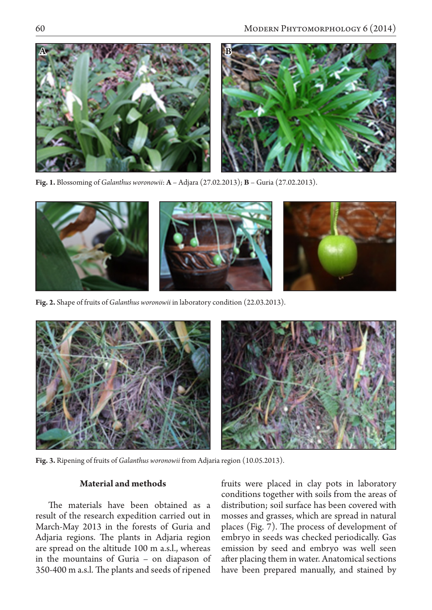

**Fig. 1.** Blossoming of *Galanthus woronowii*: **A** – Adjara (27.02.2013); **B** – Guria (27.02.2013).



**Fig. 2.** Shape of fruits of *Galanthus woronowii* in laboratory condition (22.03.2013).



**Fig. 3.** Ripening of fruits of *Galanthus woronowii* from Adjaria region (10.05.2013).

## **Material and methods**

The materials have been obtained as a result of the research expedition carried out in March-May 2013 in the forests of Guria and Adjaria regions. The plants in Adjaria region are spread on the altitude 100 m a.s.l., whereas in the mountains of Guria – on diapason of 350-400 m a.s.l. The plants and seeds of ripened fruits were placed in clay pots in laboratory conditions together with soils from the areas of distribution; soil surface has been covered with mosses and grasses, which are spread in natural places (Fig. 7). The process of development of embryo in seeds was checked periodically. Gas emission by seed and embryo was well seen after placing them in water. Anatomical sections have been prepared manually, and stained by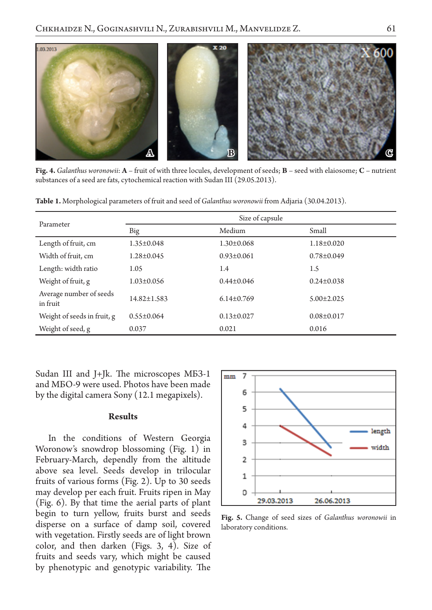

**Fig. 4.** *Galanthus woronowii*: **A** – fruit of with three locules, development of seeds; **B** – seed with elaiosome; **C** – nutrient substances of a seed are fats, cytochemical reaction with Sudan III (29.05.2013).

**Table 1.** Morphological parameters of fruit and seed of *Galanthus woronowii* from Adjaria (30.04.2013).

| Parameter                           | Size of capsule   |                  |                  |
|-------------------------------------|-------------------|------------------|------------------|
|                                     | Big               | Medium           | Small            |
| Length of fruit, cm                 | $1.35 \pm 0.048$  | $1.30 \pm 0.068$ | $1.18 \pm 0.020$ |
| Width of fruit, cm                  | $1.28 \pm 0.045$  | $0.93 \pm 0.061$ | $0.78 \pm 0.049$ |
| Length: width ratio                 | 1.05              | 1.4              | 1.5              |
| Weight of fruit, g                  | $1.03 \pm 0.056$  | $0.44 \pm 0.046$ | $0.24 \pm 0.038$ |
| Average number of seeds<br>in fruit | $14.82 \pm 1.583$ | $6.14 \pm 0.769$ | $5.00 \pm 2.025$ |
| Weight of seeds in fruit, g         | $0.55 \pm 0.064$  | $0.13 \pm 0.027$ | $0.08 \pm 0.017$ |
| Weight of seed, g                   | 0.037             | 0.021            | 0.016            |

Sudan III and J+Jk. The microscopes МБЗ-1 and МБО-9 were used. Photos have been made by the digital camera Sony (12.1 megapixels).

### **Results**

In the conditions of Western Georgia Woronow's snowdrop blossoming (Fig. 1) in February-March, dependly from the altitude above sea level. Seeds develop in trilocular fruits of various forms (Fig. 2). Up to 30 seeds may develop per each fruit. Fruits ripen in May (Fig. 6). By that time the aerial parts of plant begin to turn yellow, fruits burst and seeds disperse on a surface of damp soil, covered with vegetation. Firstly seeds are of light brown color, and then darken (Figs. 3, 4). Size of fruits and seeds vary, which might be caused by phenotypic and genotypic variability. The



**Fig. 5.** Change of seed sizes of *Galanthus woronowii* in laboratory conditions.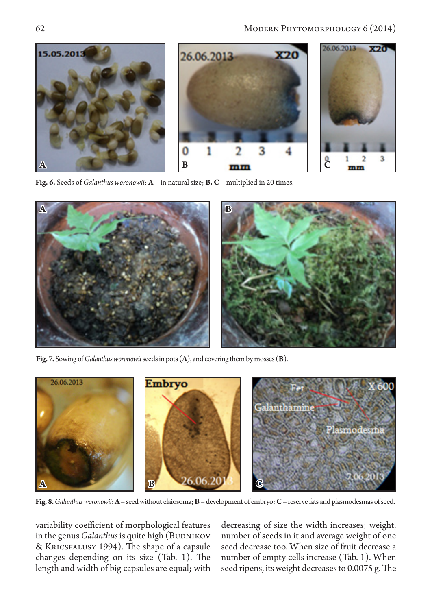

**Fig. 6.** Seeds of *Galanthus woronowii*: **A** – in natural size; **B, C** – multiplied in 20 times.



**Fig. 7.** Sowing of *Galanthus woronowii* seeds in pots (**A**), and covering them by mosses (**B**).



**Fig. 8.** *Galanthus woronowii*: **A** – seed without elaiosoma; **B** – development of embryo; **C** – reserve fats and plasmodesmas of seed.

variability coefficient of morphological features in the genus *Galanthus* is quite high (BUDNIKOV & Kricsfalusy 1994). The shape of a capsule changes depending on its size (Tab. 1). The length and width of big capsules are equal; with decreasing of size the width increases; weight, number of seeds in it and average weight of one seed decrease too. When size of fruit decrease a number of empty cells increase (Tab. 1). When seed ripens, its weight decreases to 0.0075 g. The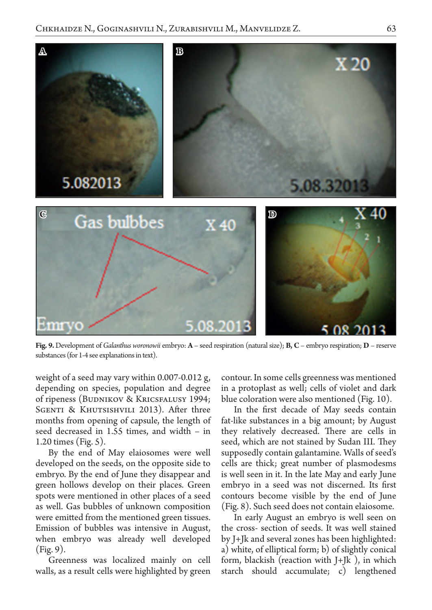

**Fig. 9.** Development of *Galanthus woronowii* embryo: **A** – seed respiration (natural size); **B, C** – embryo respiration; **D** – reserve substances (for 1-4 see explanations in text).

weight of a seed may vary within 0.007-0.012 g, depending on species, population and degree of ripeness (BUDNIKOV & KRICSFALUSY 1994; SGENTI & KHUTSISHVILI 2013). After three months from opening of capsule, the length of seed decreased in 1.55 times, and width – in 1.20 times (Fig. 5).

By the end of May elaiosomes were well developed on the seeds, on the opposite side to embryo. By the end of June they disappear and green hollows develop on their places. Green spots were mentioned in other places of a seed as well. Gas bubbles of unknown composition were emitted from the mentioned green tissues. Emission of bubbles was intensive in August, when embryo was already well developed (Fig. 9).

Greenness was localized mainly on cell walls, as a result cells were highlighted by green contour. In some cells greenness was mentioned in a protoplast as well; cells of violet and dark blue coloration were also mentioned (Fig. 10).

In the first decade of May seeds contain fat-like substances in a big amount; by August they relatively decreased. There are cells in seed, which are not stained by Sudan III. They supposedly contain galantamine. Walls of seed's cells are thick; great number of plasmodesms is well seen in it. In the late May and early June embryo in a seed was not discerned. Its first contours become visible by the end of June (Fig. 8). Such seed does not contain elaiosome.

In early August an embryo is well seen on the cross- section of seeds. It was well stained by J+Jk and several zones has been highlighted: a) white, of elliptical form; b) of slightly conical form, blackish (reaction with J+Jk ), in which starch should accumulate; c) lengthened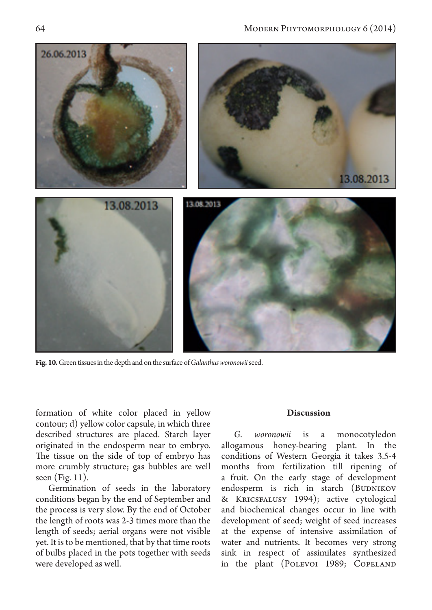

**Fig. 10.** Green tissues in the depth and on the surface of *Galanthus woronowii* seed.

formation of white color placed in yellow contour; d) yellow color capsule, in which three described structures are placed. Starch layer originated in the endosperm near to embryo. The tissue on the side of top of embryo has more crumbly structure; gas bubbles are well seen (Fig. 11).

Germination of seeds in the laboratory conditions began by the end of September and the process is very slow. By the end of October the length of roots was 2-3 times more than the length of seeds; aerial organs were not visible yet. It is to be mentioned, that by that time roots of bulbs placed in the pots together with seeds were developed as well.

#### **Discussion**

*G. woronowii* is a monocotyledon allogamous honey-bearing plant. In the conditions of Western Georgia it takes 3.5-4 months from fertilization till ripening of a fruit. On the early stage of development endosperm is rich in starch (BUDNIKOV & Kricsfalusy 1994); active cytological and biochemical changes occur in line with development of seed; weight of seed increases at the expense of intensive assimilation of water and nutrients. It becomes very strong sink in respect of assimilates synthesized in the plant (POLEVOI 1989; COPELAND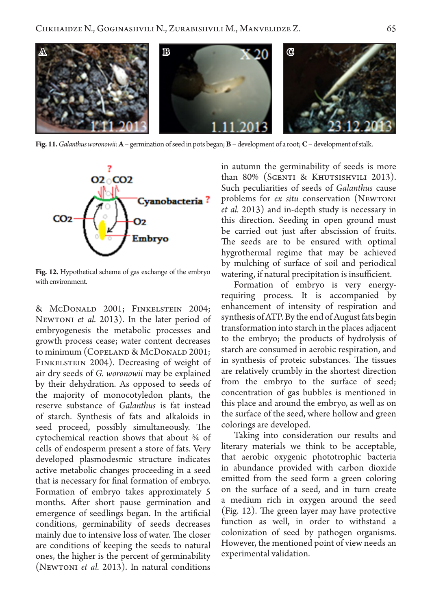

**Fig. 11.** *Galanthus woronowii*: **A** – germination of seed in pots began; **B** – development of a root; **C** – development of stalk.



**Fig. 12.** Hypothetical scheme of gas exchange of the embryo with environment.

& McDonald 2001; Finkelstein 2004; Newtoni *et al.* 2013). In the later period of embryogenesis the metabolic processes and growth process cease; water content decreases to minimum (COPELAND & McDONALD 2001; FINKELSTEIN 2004). Decreasing of weight of air dry seeds of *G. woronowii* may be explained by their dehydration. As opposed to seeds of the majority of monocotyledon plants, the reserve substance of *Galanthus* is fat instead of starch. Synthesis of fats and alkaloids in seed proceed, possibly simultaneously. The cytochemical reaction shows that about ¾ of cells of endosperm present a store of fats. Very developed plasmodesmic structure indicates active metabolic changes proceeding in a seed that is necessary for final formation of embryo. Formation of embryo takes approximately 5 months. After short pause germination and emergence of seedlings began. In the artificial conditions, germinability of seeds decreases mainly due to intensive loss of water. The closer are conditions of keeping the seeds to natural ones, the higher is the percent of germinability (Newtoni *et al.* 2013). In natural conditions in autumn the germinability of seeds is more than 80% (SGENTI & KHUTSISHVILI 2013). Such peculiarities of seeds of *Galanthus* cause problems for *ex situ* conservation (Newtoni *et al.* 2013) and in-depth study is necessary in this direction. Seeding in open ground must be carried out just after abscission of fruits. The seeds are to be ensured with optimal hygrothermal regime that may be achieved by mulching of surface of soil and periodical watering, if natural precipitation is insufficient.

Formation of embryo is very energyrequiring process. It is accompanied by enhancement of intensity of respiration and synthesis of ATP. By the end of August fats begin transformation into starch in the places adjacent to the embryo; the products of hydrolysis of starch are consumed in aerobic respiration, and in synthesis of proteic substances. The tissues are relatively crumbly in the shortest direction from the embryo to the surface of seed; concentration of gas bubbles is mentioned in this place and around the embryo, as well as on the surface of the seed, where hollow and green colorings are developed.

Taking into consideration our results and literary materials we think to be acceptable, that aerobic oxygenic phototrophic bacteria in abundance provided with carbon dioxide emitted from the seed form a green coloring on the surface of a seed, and in turn create a medium rich in oxygen around the seed (Fig. 12). The green layer may have protective function as well, in order to withstand a colonization of seed by pathogen organisms. However, the mentioned point of view needs an experimental validation.